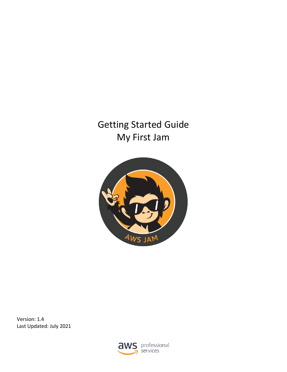# Getting Started Guide My First Jam



Version: 1.4 Last Updated: July 2021

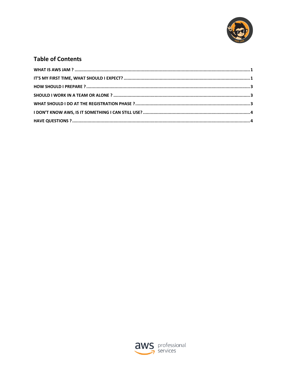

#### **Table of Contents**

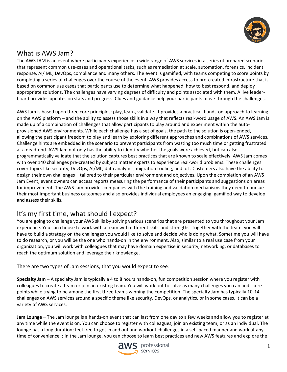

# <span id="page-2-0"></span>What is AWS Jam?

The AWS JAM is an event where participants experience a wide range of AWS services in a series of prepared scenarios that represent common use-cases and operational tasks, such as remediation at scale, automation, forensics, incident response, AI/ ML, DevOps, compliance and many others. The event is gamified, with teams competing to score points by completing a series of challenges over the course of the event. AWS provides access to pre-created infrastructure that is based on common use cases that participants use to determine what happened, how to best respond, and deploy appropriate solutions. The challenges have varying degrees of difficulty and points associated with them. A live leaderboard provides updates on stats and progress. Clues and guidance help your participants move through the challenges.

AWS Jam is based upon three core principles: play, learn, validate. It provides a practical, hands-on approach to learning on the AWS platform – and the ability to assess those skills in a way that reflects real-word usage of AWS. An AWS Jam is made up of a combination of challenges that allow participants to play around and experiment within the autoprovisioned AWS environments. While each challenge has a set of goals, the path to the solution is open-ended, allowing the participant freedom to play and learn by exploring different approaches and combinations of AWS services. Challenge hints are embedded in the scenario to prevent participants from wasting too much time or getting frustrated at a dead-end. AWS Jam not only has the ability to identify whether the goals were achieved, but can also programmatically validate that the solution captures best practices that are known to scale effectively. AWS Jam comes with over 140 challenges pre-created by subject matter experts to experience real-world problems. These challenges cover topics like security, DevOps, AI/ML, data analytics, migration tooling, and IoT. Customers also have the ability to design their own challenges – tailored to their particular environment and objectives. Upon the completion of an AWS Jam Event, event owners can access reports measuring the performance of their participants and suggestions on areas for improvement. The AWS Jam provides companies with the training and validation mechanisms they need to pursue their most important business outcomes and also provides individual employees an engaging, gamified way to develop and assess their skills.

# <span id="page-2-1"></span>It's my first time, what should I expect?

You are going to challenge your AWS skills by solving various scenarios that are presented to you throughout your Jam experience. You can choose to work with a team with different skills and strengths. Together with the team, you will have to build a strategy on the challenges you would like to solve and decide who is doing what. Sometime you will have to do research, or you will be the one who hands-on in the environment. Also, similar to a real use case from your organization, you will work with colleagues that may have domain expertise in security, networking, or databases to reach the optimum solution and leverage their knowledge.

There are two types of Jam sessions, that you would expect to see:

**Specialty Jam** – A specialty Jam is typically a 4 to 8 hours hands-on, fun competition session where you register with colleagues to create a team or join an existing team. You will work out to solve as many challenges you can and score points while trying to be among the first three teams winning the competition. The specialty Jam has typically 10-14 challenges on AWS services around a specific theme like security, DevOps, or analytics, or in some cases, it can be a variety of AWS services.

**Jam Lounge** – The Jam lounge is a hands-on event that can last from one day to a few weeks and allow you to register at any time while the event is on. You can choose to register with colleagues, join an existing team, or as an individual. The lounge has a long duration; feel free to get in and out and workout challenges in a self-paced manner and work at any time of convenience. ; In the Jam lounge, you can choose to learn best practices and new AWS features and explore the

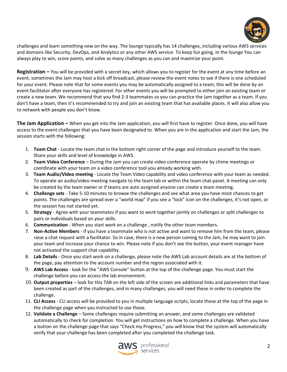

challenges and learn something new on the way. The lounge typically has 14 challenges, including various AWS services and domains like Security, DevOps, and Analytics or any other AWS service. To keep fun going, In the lounge You can always play to win, score points, and solve as many challenges as you can and maximize your point.

**Registration –** You will be provided with a secret key, which allows you to register for the event at any time before an event, sometimes the Jam may host a kick off broadcast, please review the event notes to see if there is one scheduled for your event. Please note that for some events you may be automatically assigned to a team, this will be done by an event facilitator after everyone has registered. For other events you will be prompted to either join an existing team or create a new team. We recommend that you find 2-3 teammates so you can practice the Jam together as a team. If you don't have a team, then it's recommended to try and join an existing team that has available places. It will also allow you to network with people you don't know.

**The Jam Application –** When you get into the Jam application, you will first have to register. Once done, you will have access to the event challenges that you have been designated to. When you are in the application and start the Jam, the session starts with the following:

- 1. **Team Chat** Locate the team chat in the bottom right corner of the page and introduce yourself to the team. Share your skills and level of knowledge in AWS.
- 2. **Team Video Conference**  During the Jam you can create video conference operate by chime meetings or coordinate with your team on a video conference tool you already working with.
- 3. **Team Audio/Video meeting** Locate the Team Video capability and video conference with your team as needed. To operate an audio/video meeting navigate to the team tab or within the team chat panel. A meeting can only be created by the team owner or if teams are auto assigned anyone can create a team meeting.
- 4. **Challenge sets** Take 5-10 minutes to browse the challenges and see what area you have most chances to get points. The challenges are spread over a "world map" if you see a "lock" icon on the challenges, it's not open, or the session has not started yet.
- 5. **Strategy** Agree with your teammates if you want to work together jointly on challenges or split challenges to pairs or individuals based on your skills.
- 6. **Communication** When you start work on a challenge , notify the other team members.
- 7. **Non-Active Members** If you have a teammate who is not active and want to remove him from the team, please raise a chat request with a facilitator. So in case, there is a new person coming to the Jam, he may want to join your team and increase your chance to win. Please note if you don't see the button, your event manager have not activated the support chat capability.
- 8. **Lab Details** Once you start work on a challenge, please note the AWS Lab account details are at the bottom of the page, pay attention to the account number and the region associated with it.
- 9. **AWS Lab Access** look for the "AWS Console" button at the top of the challenge page. You must start the challenge before you can access the lab environment.
- 10. **Output properties** look for this TAB on the left side of the screen are additional links and parameters that have been created as part of the challenges, and in many challenges, you will need these in order to complete the challenge.
- 11. **CLI Access** CLI access will be provided to you in multiple language scripts, locate those at the top of the page in the challenge page when you instructed to use those.
- 12. **Validate a Challenge** Some challenges require submitting an answer, and some challenges are validated automatically to check for completion. You will get instructions on how to complete a challenge. When you have a button on the challenge page that says "Check my Progress," you will know that the system will automatically verify that your challenge has been completed after you completed the challenge task.

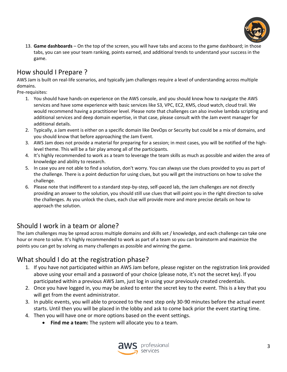

13. **Game dashboards** – On the top of the screen, you will have tabs and access to the game dashboard; in those tabs, you can see your team ranking, points earned, and additional trends to understand your success in the game.

# <span id="page-4-0"></span>How should I Prepare ?

AWS Jam is built on real-life scenarios, and typically jam challenges require a level of understanding across multiple domains.

Pre-requisites:

- 1. You should have hands-on experience on the AWS console, and you should know how to navigate the AWS services and have some experience with basic services like S3, VPC, EC2, KMS, cloud watch, cloud trail. We would recommend having a practitioner level. Please note that challenges can also involve lambda scripting and additional services and deep domain expertise, in that case, please consult with the Jam event manager for additional details.
- 2. Typically, a Jam event is either on a specific domain like DevOps or Security but could be a mix of domains, and you should know that before approaching the Jam Event.
- 3. AWS Jam does not provide a material for preparing for a session; in most cases, you will be notified of the highlevel theme. This will be a fair play among all of the participants.
- 4. It's highly recommended to work as a team to leverage the team skills as much as possible and widen the area of knowledge and ability to research.
- 5. In case you are not able to find a solution, don't worry. You can always use the clues provided to you as part of the challenge. There is a point deduction for using clues, but you will get the instructions on how to solve the challenge.
- 6. Please note that indifferent to a standard step-by-step, self-paced lab, the Jam challenges are not directly providing an answer to the solution, you should still use clues that will point you in the right direction to solve the challenges. As you unlock the clues, each clue will provide more and more precise details on how to approach the solution.

#### <span id="page-4-1"></span>Should I work in a team or alone?

The Jam challenges may be spread across multiple domains and skills set / knowledge, and each challenge can take one hour or more to solve. It's highly recommended to work as part of a team so you can brainstorm and maximize the points you can get by solving as many challenges as possible and winning the game.

#### <span id="page-4-2"></span>What should I do at the registration phase?

- 1. If you have not participated within an AWS Jam before, please register on the registration link provided above using your email and a password of your choice (please note, it's not the secret key). If you participated within a previous AWS Jam, just log in using your previously created credentials.
- 2. Once you have logged in, you may be asked to enter the secret key to the event. This is a key that you will get from the event administrator.
- 3. In public events, you will able to proceed to the next step only 30-90 minutes before the actual event starts. Until then you will be placed in the lobby and ask to come back prior the event starting time.
- 4. Then you will have one or more options based on the event settings.
	- **Find me a team:** The system will allocate you to a team.